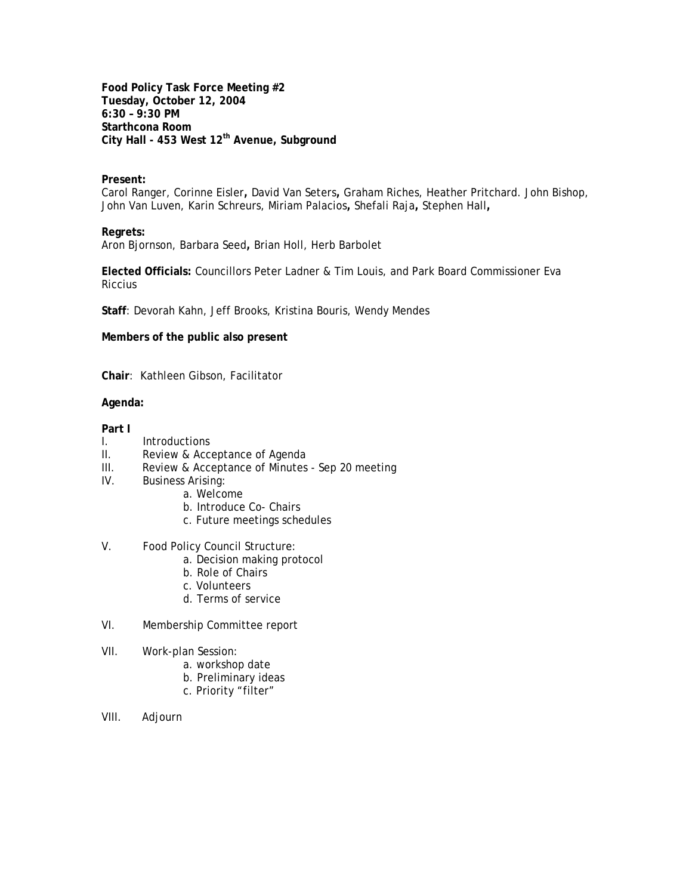**Food Policy Task Force Meeting #2 Tuesday, October 12, 2004 6:30 – 9:30 PM Starthcona Room City Hall - 453 West 12th Avenue, Subground**

#### **Present:**

Carol Ranger, Corinne Eisler**,** David Van Seters**,** Graham Riches, Heather Pritchard. John Bishop, John Van Luven, Karin Schreurs, Miriam Palacios**,** Shefali Raja**,** Stephen Hall**,** 

#### **Regrets:**

Aron Bjornson, Barbara Seed**,** Brian Holl, Herb Barbolet

**Elected Officials:** Councillors Peter Ladner & Tim Louis, and Park Board Commissioner Eva **Riccius** 

**Staff**: Devorah Kahn, Jeff Brooks, Kristina Bouris, Wendy Mendes

**Members of the public also present**

**Chair**: Kathleen Gibson, Facilitator

#### **Agenda:**

# **Part I**

- I. Introductions
- II. Review & Acceptance of Agenda
- III. Review & Acceptance of Minutes Sep 20 meeting
- IV. Business Arising:
	- a. Welcome
	- b. Introduce Co- Chairs
	- c. Future meetings schedules

# V. Food Policy Council Structure:

- a. Decision making protocol
- b. Role of Chairs
- c. Volunteers
- d. Terms of service
- VI. Membership Committee report
- VII. Work-plan Session:
	- a. workshop date
	- b. Preliminary ideas
	- c. Priority "filter"
- VIII. Adjourn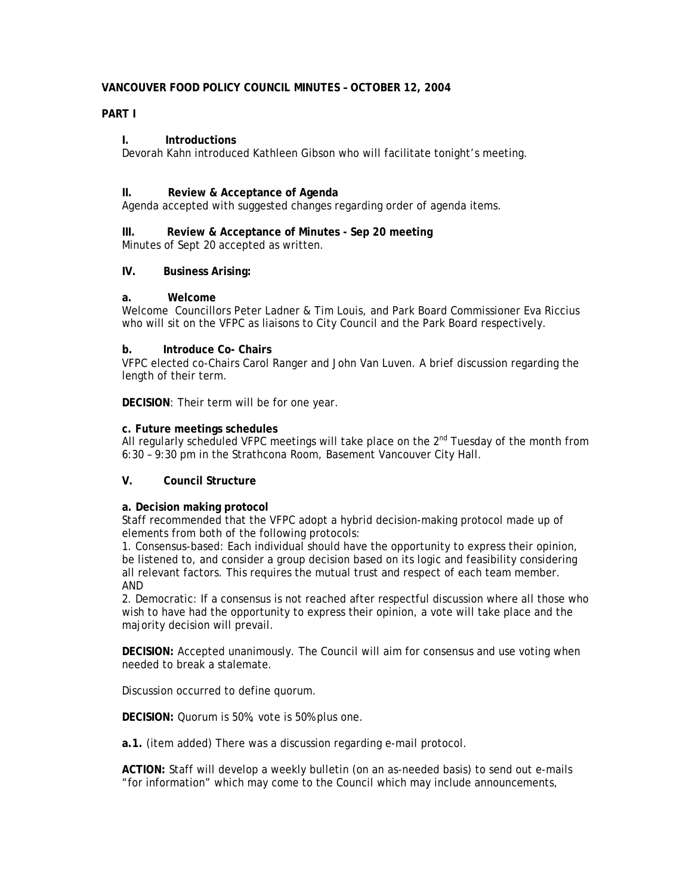# **VANCOUVER FOOD POLICY COUNCIL MINUTES – OCTOBER 12, 2004**

# **PART I**

# **I. Introductions**

Devorah Kahn introduced Kathleen Gibson who will facilitate tonight's meeting.

# **II. Review & Acceptance of Agenda**

Agenda accepted with suggested changes regarding order of agenda items.

# **III. Review & Acceptance of Minutes - Sep 20 meeting**

Minutes of Sept 20 accepted as written.

# **IV. Business Arising:**

# **a. Welcome**

Welcome Councillors Peter Ladner & Tim Louis, and Park Board Commissioner Eva Riccius who will sit on the VFPC as liaisons to City Council and the Park Board respectively.

## **b. Introduce Co- Chairs**

VFPC elected co-Chairs Carol Ranger and John Van Luven. A brief discussion regarding the length of their term.

**DECISION**: Their term will be for one year.

# **c. Future meetings schedules**

All regularly scheduled VFPC meetings will take place on the 2<sup>nd</sup> Tuesday of the month from 6:30 – 9:30 pm in the Strathcona Room, Basement Vancouver City Hall.

## **V. Council Structure**

## **a. Decision making protocol**

Staff recommended that the VFPC adopt a hybrid decision-making protocol made up of elements from both of the following protocols:

1. Consensus-based: Each individual should have the opportunity to express their opinion, be listened to, and consider a group decision based on its logic and feasibility considering all relevant factors. This requires the mutual trust and respect of each team member. AND

2. Democratic: If a consensus is not reached after respectful discussion where all those who wish to have had the opportunity to express their opinion, a vote will take place and the majority decision will prevail.

**DECISION:** Accepted unanimously. The Council will aim for consensus and use voting when needed to break a stalemate.

Discussion occurred to define quorum.

**DECISION:** Quorum is 50%, vote is 50% plus one.

**a.1.** (item added) There was a discussion regarding e-mail protocol.

**ACTION:** Staff will develop a weekly bulletin (on an as-needed basis) to send out e-mails "for information" which may come to the Council which may include announcements,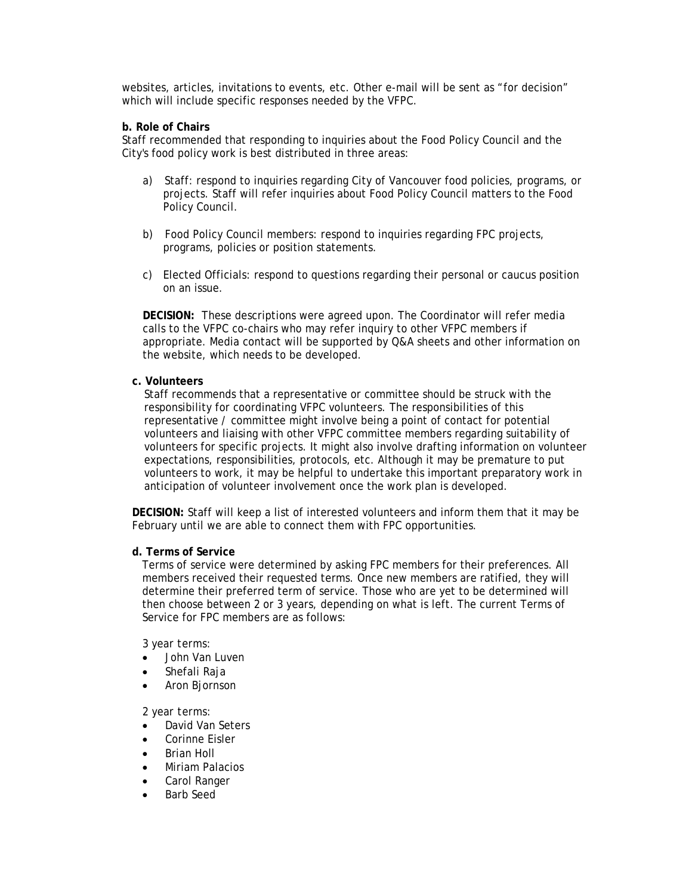websites, articles, invitations to events, etc. Other e-mail will be sent as "for decision" which will include specific responses needed by the VFPC.

# **b. Role of Chairs**

Staff recommended that responding to inquiries about the Food Policy Council and the City's food policy work is best distributed in three areas:

- a) Staff: respond to inquiries regarding City of Vancouver food policies, programs, or projects. Staff will refer inquiries about Food Policy Council matters to the Food Policy Council.
- b) Food Policy Council members: respond to inquiries regarding FPC projects, programs, policies or position statements.
- c) Elected Officials: respond to questions regarding their personal or caucus position on an issue.

**DECISION:** These descriptions were agreed upon. The Coordinator will refer media calls to the VFPC co-chairs who may refer inquiry to other VFPC members if appropriate. Media contact will be supported by Q&A sheets and other information on the website, which needs to be developed.

## **c. Volunteers**

Staff recommends that a representative or committee should be struck with the responsibility for coordinating VFPC volunteers. The responsibilities of this representative / committee might involve being a point of contact for potential volunteers and liaising with other VFPC committee members regarding suitability of volunteers for specific projects. It might also involve drafting information on volunteer expectations, responsibilities, protocols, etc. Although it may be premature to put volunteers to work, it may be helpful to undertake this important preparatory work in anticipation of volunteer involvement once the work plan is developed.

**DECISION:** Staff will keep a list of interested volunteers and inform them that it may be February until we are able to connect them with FPC opportunities.

#### **d. Terms of Service**

Terms of service were determined by asking FPC members for their preferences. All members received their requested terms. Once new members are ratified, they will determine their preferred term of service. Those who are yet to be determined will then choose between 2 or 3 years, depending on what is left. The current Terms of Service for FPC members are as follows:

#### *3 year terms:*

- John Van Luven
- Shefali Raja
- Aron Bjornson

#### *2 year terms:*

- David Van Seters
- Corinne Eisler
- Brian Holl
- Miriam Palacios
- Carol Ranger
- Barb Seed